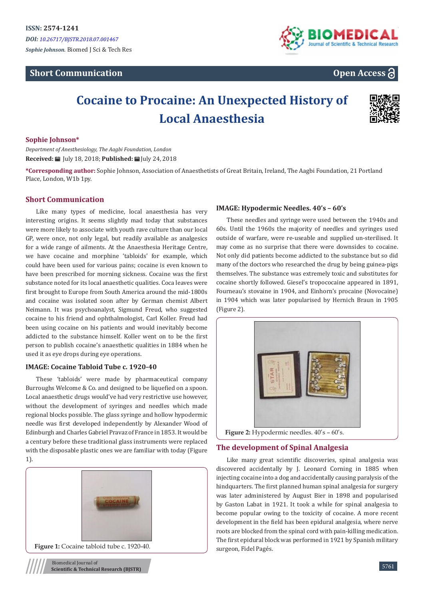# **Short Communication**



# **Open Access**

# **Cocaine to Procaine: An Unexpected History of Local Anaesthesia**



# **Sophie Johnson\***

*Department of Anesthesiology, The Aagbi Foundation, London* **Received:** July 18, 2018; **Published:** July 24, 2018

**\*Corresponding author:** Sophie Johnson, Association of Anaesthetists of Great Britain, Ireland, The Aagbi Foundation, 21 Portland Place, London, W1b 1py.

# **Short Communication**

Like many types of medicine, local anaesthesia has very interesting origins. It seems slightly mad today that substances were more likely to associate with youth rave culture than our local GP, were once, not only legal, but readily available as analgesics for a wide range of ailments. At the Anaesthesia Heritage Centre, we have cocaine and morphine 'tabloids' for example, which could have been used for various pains; cocaine is even known to have been prescribed for morning sickness. Cocaine was the first substance noted for its local anaesthetic qualities. Coca leaves were first brought to Europe from South America around the mid-1800s and cocaine was isolated soon after by German chemist Albert Neimann. It was psychoanalyst, Sigmund Freud, who suggested cocaine to his friend and ophthalmologist, Carl Koller. Freud had been using cocaine on his patients and would inevitably become addicted to the substance himself. Koller went on to be the first person to publish cocaine's anaesthetic qualities in 1884 when he used it as eye drops during eye operations.

## **IMAGE: Cocaine Tabloid Tube c. 1920-40**

These 'tabloids' were made by pharmaceutical company Burroughs Welcome & Co. and designed to be liquefied on a spoon. Local anaesthetic drugs would've had very restrictive use however, without the development of syringes and needles which made regional blocks possible. The glass syringe and hollow hypodermic needle was first developed independently by Alexander Wood of Edinburgh and Charles Gabriel Pravaz of France in 1853. It would be a century before these traditional glass instruments were replaced with the disposable plastic ones we are familiar with today (Figure 1).





Biomedical Journal of **Scientific & Technical Research (BJSTR)**

# **IMAGE: Hypodermic Needles. 40's – 60's**

These needles and syringe were used between the 1940s and 60s. Until the 1960s the majority of needles and syringes used outside of warfare, were re-useable and supplied un-sterilised. It may come as no surprise that there were downsides to cocaine. Not only did patients become addicted to the substance but so did many of the doctors who researched the drug by being guinea-pigs themselves. The substance was extremely toxic and substitutes for cocaine shortly followed. Giesel's tropococaine appeared in 1891, Fourneau's stovaine in 1904, and Einhorn's procaine (Novocaine) in 1904 which was later popularised by Hernich Braun in 1905 (Figure 2).



**Figure 2:** Hypodermic needles. 40's – 60's.

# **The development of Spinal Analgesia**

Like many great scientific discoveries, spinal analgesia was discovered accidentally by J. Leonard Corning in 1885 when injecting cocaine into a dog and accidentally causing paralysis of the hindquarters. The first planned human spinal analgesia for surgery was later administered by August Bier in 1898 and popularised by Gaston Labat in 1921. It took a while for spinal analgesia to become popular owing to the toxicity of cocaine. A more recent development in the field has been epidural analgesia, where nerve roots are blocked from the spinal cord with pain-killing medication. The first epidural block was performed in 1921 by Spanish military surgeon, Fidel Pagés.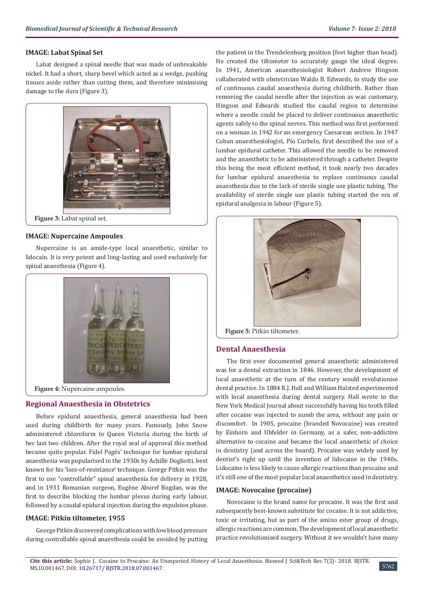#### **IMAGE: Labat Spinal Set**

Labat designed a spinal needle that was made of unbreakable nickel. It had a short, sharp bevel which acted as a wedge, pushing tissues aside rather than cutting them, and therefore minimising damage to the dura (Figure 3).



**Figure 3:** Labat spinal set.

#### **IMAGE: Nupercaine Ampoules**

Nupercaine is an amide-type local anaesthetic, similar to lidocain. It is very potent and long-lasting and used exclusively for spinal anaesthesia (Figure 4).



**Figure 4:** Nupercaine ampoules.

## **Regional Anaesthesia in Obstetrics**

Before epidural anaesthesia, general anaesthesia had been used during childbirth for many years. Famously, John Snow administered chloroform to Queen Victoria during the birth of her last two children. After the royal seal of approval this method became quite popular. Fidel Pagés' technique for lumbar epidural anaesthesia was popularised in the 1930s by Achille Dogliotti, best known for his 'loss-of-resistance' technique. George Pitkin was the first to use "controllable" spinal anaesthesia for delivery in 1928, and in 1931 Romanian surgeon, Eugène Aburel Bogdan, was the first to describe blocking the lumbar plexus during early labour, followed by a caudal epidural injection during the expulsion phase.

# **IMAGE: Pitkin tiltometer, 1955**

George Pitkin discovered complications with low blood pressure during controllable spinal anaesthesia could be avoided by putting the patient in the Trendelenburg position (feet higher than head). He created the tiltometer to accurately gauge the ideal degree. In 1941, American anaesthesiologist Robert Andrew Hingson collaborated with obstetrician Waldo B. Edwards, to study the use of continuous caudal anaesthesia during childbirth. Rather than removing the caudal needle after the injection as was customary, Hingson and Edwards studied the caudal region to determine where a needle could be placed to deliver continuous anaesthetic agents safely to the spinal nerves. This method was first performed on a woman in 1942 for an emergency Caesarean section. In 1947 Cuban anaesthesiologist, Pío Curbelo, first described the use of a lumbar epidural catheter. This allowed the needle to be removed and the anaesthetic to be administered through a catheter. Despite this being the most efficient method, it took nearly two decades for lumbar epidural anaesthesia to replace continuous caudal anaesthesia due to the lack of sterile single use plastic tubing. The availability of sterile single use plastic tubing started the era of epidural analgesia in labour (Figure 5).



**Figure 5:** Pitkin tiltometer.

#### **Dental Anaesthesia**

The first ever documented general anaesthetic administered was for a dental extraction in 1846. However, the development of local anaesthetic at the turn of the century would revolutionise dental practice. In 1884 R.J. Hall and William Halsted experimented with local anaesthesia during dental surgery. Hall wrote to the New York Medical Journal about successfully having his tooth filled after cocaine was injected to numb the area, without any pain or discomfort. In 1905, procaine (branded Novocaine) was created by Einhorn and Uhfelder in Germany, as a safer, non-addictive alternative to cocaine and became the local anaesthetic of choice in dentistry (and across the board). Procaine was widely used by dentist's right up until the invention of lidocaine in the 1940s. Lidocaine is less likely to cause allergic reactions than procaine and it's still one of the most popular local anaesthetics used in dentistry.

#### **IMAGE: Novocaine (procaine)**

Novocaine is the brand name for procaine. It was the first and subsequently best-known substitute for cocaine. It is not addictive, toxic or irritating, but as part of the amino ester group of drugs, allergic reactions are common. The development of local anaesthetic practice revolutionised surgery. Without it we wouldn't have many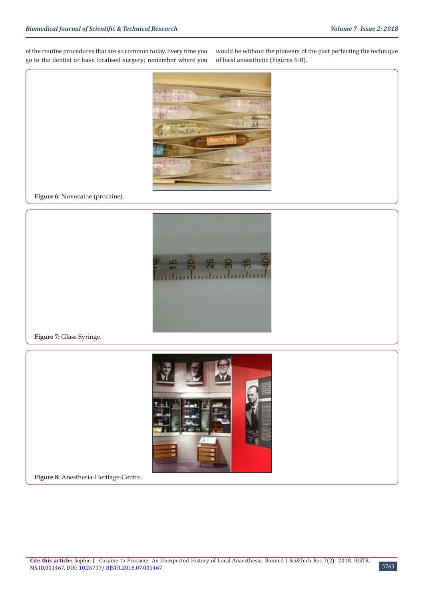of the routine procedures that are so common today. Every time you go to the dentist or have localised surgery; remember where you

would be without the pioneers of the past perfecting the technique of local anaesthetic (Figures 6-8).



**Figure 6:** Novocaine (procaine).



**Figure 7:** Glass Syringe.



**Figure 8:** Anesthesia-Heritage-Centre.